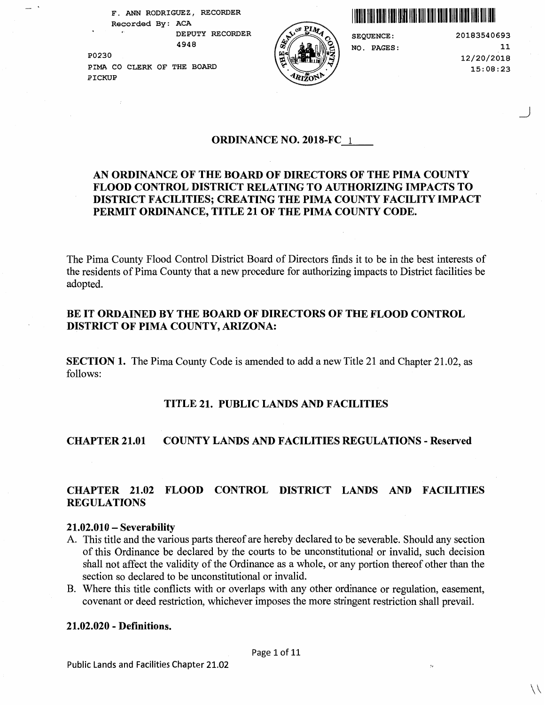**F. ANN RODRIGUEZ** , **RECORDER Recorded By: ACA** I llllll lllll lllll lllll lllll lllll lllll lllll lllll lllll 111111111111111111 **DEPUTY RECORDER** 

**4948** 

**P0230 PIMA CO CLERK OF THE BOARD PICKUP** 



**SEQUENCE: NO. PAGES:** 

**20183540693 11 12/20/2018 15:08:23** 

\_)

#### **ORDINANCE NO. 2018-FC** 1

# **AN ORDINANCE OF THE BOARD OF DIRECTORS OF THE PIMA COUNTY FLOOD CONTROL DISTRICT RELATING TO AUTHORIZING IMPACTS TO DISTRICT FACILITIES; CREATING THE PIMA COUNTY FACILITY IMPACT PERMIT ORDINANCE, TITLE 21 OF THE PIMA COUNTY CODE.**

The Pima County Flood Control District Board of Directors finds it to be in the best interests of the residents of Pima County that a new procedure for authorizing impacts to District facilities be adopted.

## **BE IT ORDAINED BY THE BOARD OF DIRECTORS OF THE FLOOD CONTROL DISTRICT OF PIMA COUNTY, ARIZONA:**

**SECTION 1.** The Pima County Code is amended to add a new Title 21 and Chapter 21.02, as follows:

#### **TITLE 21. PUBLIC LANDS AND FACILITIES**

#### **CHAPTER 21.01 COUNTY LANDS AND FACILITIES REGULATIONS** - **Reserved**

# **CHAPTER 21.02 FLOOD CONTROL DISTRICT LANDS AND FACILITIES REGULATIONS**

#### **21.02.010** - **Severability**

- A. This title and the various parts thereof are hereby declared to be severable. Should any section of this Ordinance be declared by the courts to be unconstitutional or invalid, such decision shall not affect the validity of the Ordinance as a whole, or any portion thereof other than the section so declared to be unconstitutional or invalid.
- B. Where this title conflicts with or overlaps with any other ordinance or regulation, easement, covenant or deed restriction, whichever imposes the more stringent restriction shall prevail.

#### **21.02.020** - **Definitions.**

 $\setminus$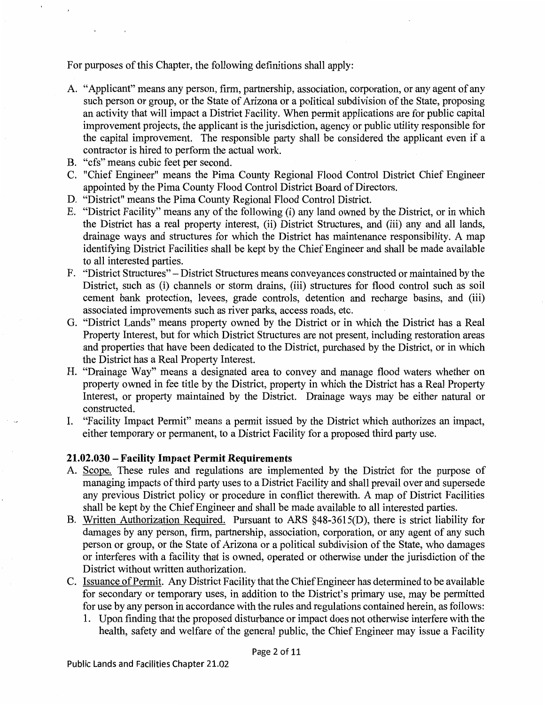For purposes of this Chapter, the following definitions shall apply:

- A. "Applicant" means any person, firm, partnership, association, corporation, or any agent of any such person or group, or the State of Arizona or a political subdivision of the State, proposing an activity that will impact a District Facility. When permit applications are for public capital improvement projects, the applicant is the jurisdiction, agency or public utility responsible for the capital improvement. The responsible party shall be considered the applicant even if a contractor is hired to perform the actual work.
- B. "cfs" means cubic feet per second.
- C. "Chief Engineer" means the Pima County Regional Flood Control District Chief Engineer appointed by the Pima County Flood Control District Board of Directors.
- D. "District" means the Pima County Regional Flood Control District.
- E. "District Facility" means any of the following (i) any land owned by the District, or in which the District has a real property interest, (ii) District Structures, and (iii) any and all lands, drainage ways and structures for which the District has maintenance responsibility. A map identifying District Facilities shall be kept by the Chief Engineer and shall be made available to all interested parties.
- F. "District Structures" -District Structures means conveyances constructed or maintained by the District, such as (i) channels or storm drains, (iii) structures for flood control such as soil cement bank protection, levees, grade controls, detention and recharge basins, and (iii) associated improvements such as river parks, access roads, etc.
- G. "District Lands" means property owned by the District or in which the District has a Real Property Interest, but for which District Structures are not present, including restoration areas and properties that have been dedicated to the District, purchased by the District, or in which the District has a Real Property Interest.
- H. "Drainage Way" means a designated area to convey and manage flood waters whether on property owned in fee title by the District, property in which the District has a Real Property Interest, or property maintained by the District. Drainage ways may be either natural or constructed.
- I. "Facility Impact Permit" means a permit issued by the District which authorizes an impact, either temporary or permanent, to a District Facility for a proposed third party use.

## **21.02.030** - **Facility Impact Permit Requirements**

- A. Scope. These rules and regulations are implemented by the District for the purpose of managing impacts of third party uses to a District Facility and shall prevail over and supersede any previous District policy or procedure in conflict therewith. A map of District Facilities shall be kept by the Chief Engineer and shall be made available to all interested parties.
- B. Written Authorization Required. Pursuant to ARS §48-361 *S(D),* there is strict liability for damages by any person, firm, partnership, association, corporation, or any agent of any such person or group, or the State of Arizona or a political subdivision of the State, who damages or interferes with a facility that is owned, operated or otherwise under the jurisdiction of the District without written authorization.
- C. Issuance of Permit. Any District Facility that the Chief Engineer has determined to be available for secondary or temporary uses, in addition to the District's primary use, may be permitted for use by any person in accordance with the rules and regulations contained herein, as follows:
	- 1. Upon finding that the proposed disturbance or impact does not otherwise interfere with the health, safety and welfare of the general public, the Chief Engineer may issue a Facility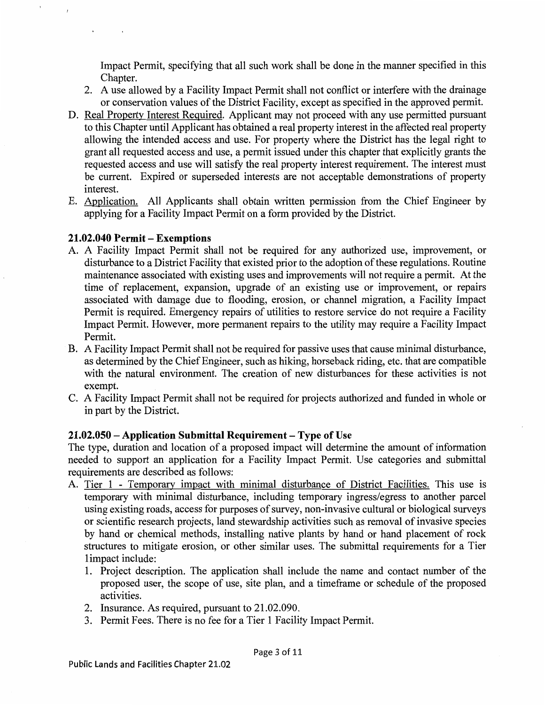Impact Permit, specifying that all such work shall be done in the manner specified in this Chapter.

- 2. A use allowed by a Facility Impact Permit shall not conflict or interfere with the drainage or conservation values of the District Facility, except as specified in the approved permit.
- D. Real Property Interest Required. Applicant may not proceed with any use permitted pursuant to this Chapter until Applicant has obtained a real property interest in the affected real property allowing the intended access and use. For property where the District has the legal right to grant all requested access and use, a permit issued under this chapter that explicitly grants the requested access and use will satisfy the real property interest requirement. The interest must be current. Expired or superseded interests are not acceptable demonstrations of property interest.
- E. Application. All Applicants shall obtain written permission from the Chief Engineer by applying for a Facility Impact Permit on a form provided by the District.

# **21.02.040 Permit- Exemptions**

- A. A Facility Impact Permit shall not be required for any authorized use, improvement, or disturbance to a District Facility that existed prior to the adoption of these regulations. Routine maintenance associated with existing uses and improvements will not require a permit. At the time of replacement, expansion, upgrade of an existing use or improvement, or repairs associated with damage due to flooding, erosion, or channel migration, a Facility Impact Permit is required. Emergency repairs of utilities to restore service do not require a Facility Impact Permit. However, more permanent repairs to the utility may require a Facility Impact Permit.
- B. A Facility Impact Permit shall not be required for passive uses that cause minimal disturbance, as determined by the Chief Engineer, such as hiking, horseback riding, etc. that are compatible with the natural environment. The creation of new disturbances for these activities is not exempt.
- C. A Facility Impact Permit shall not be required for projects authorized and funded in whole or in part by the District.

## **21.02.050 -Application Submittal Requirement** - **Type of Use**

The type, duration and location of a proposed impact will determine the amount of information needed to support an application for a Facility Impact Permit. Use categories and submittal requirements are described as follows:

- A. Tier 1 Temporary impact with minimal disturbance of District Facilities. This use is temporary with minimal disturbance, including temporary ingress/egress to another parcel using existing roads, access for purposes of survey, non-invasive cultural or biological surveys or scientific research projects, land stewardship activities such as removal of invasive species by hand or chemical methods, installing native plants by hand or hand placement of rock structures to mitigate erosion, or other similar uses. The submittal requirements for a Tier 1 impact include:
	- 1. Project description. The application shall include the name and contact number of the proposed user, the scope of use, site plan, and a timeframe or schedule of the proposed activities.
	- 2. Insurance. As required, pursuant to 21.02.090.
	- 3. Permit Fees. There is no fee for a Tier 1 Facility Impact Permit.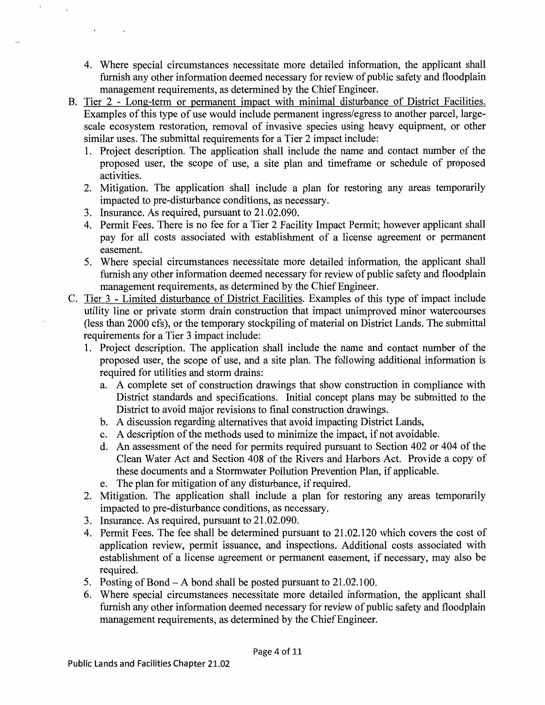- 4. Where special circumstances necessitate more detailed information, the applicant shall furnish any other information deemed necessary for review of public safety and floodplain management requirements, as determined by the Chief Engineer.
- B. Tier 2 Long-term or permanent impact with minimal disturbance of District Facilities. Examples of this type of use would include permanent ingress/egress to another parcel, largescale ecosystem restoration, removal of invasive species using heavy equipment, or other similar uses. The submittal requirements for a Tier 2 impact include:
	- 1. Project description. The application shall include the name and contact number of the proposed user, the scope of use, a site plan and timeframe or schedule of proposed activities.
	- 2. Mitigation. The application shall include a plan for restoring any areas temporarily impacted to pre-disturbance conditions, as necessary.
	- 3. Insurance. As required, pursuant to 21.02.090.
	- 4. Permit Fees. There is no fee for a Tier 2 Facility Impact Permit; however applicant shall pay for all costs associated with establishment of a license agreement or permanent easement.
	- 5. Where special circumstances necessitate more detailed information, the applicant shall furnish any other information deemed necessary for review of public safety and floodplain management requirements, as determined by the Chief Engineer.
- C. Tier 3 Limited disturbance of District Facilities. Examples of this type of impact include utility line or private storm drain construction that impact unimproved minor watercourses (less than 2000 cfs ), or the temporary stockpiling of material on District Lands. The submittal requirements for a Tier 3 impact include:
	- 1. Project description. The application shall include the name and contact number of the proposed user, the scope of use, and a site plan. The following additional information is required for utilities and storm drains:
		- a. A complete set of construction drawings that show construction in compliance with District standards and specifications. Initial concept plans may be submitted to the District to avoid major revisions to final construction drawings.
		- b. A discussion regarding alternatives that avoid impacting District Lands,
		- c. A description of the methods used to minimize the impact, if not avoidable.
		- d. An assessment of the need for permits required pursuant to Section 402 or 404 of the Clean Water Act and Section 408 of the Rivers and Harbors Act. Provide a copy of these documents and a Stormwater Pollution Prevention Plan, if applicable.
		- e. The plan for mitigation of any disturbance, if required.
	- 2. Mitigation. The application shall include a plan for restoring any areas temporarily impacted to pre-disturbance conditions, as necessary.
	- 3. Insurance. As required, pursuant to 21.02.090.
	- 4. Permit Fees. The fee shall be determined pursuant to 21.02.120 which covers the cost of application review, permit issuance, and inspections. Additional costs associated with establishment of a license agreement or permanent easement, if necessary, may also be required.
	- 5. Posting of Bond-A bond shall be posted pursuant to 21.02.100.
	- 6. Where special circumstances necessitate more detailed information, the applicant shall furnish any other information deemed necessary for review of public safety and floodplain management requirements, as determined by the Chief Engineer.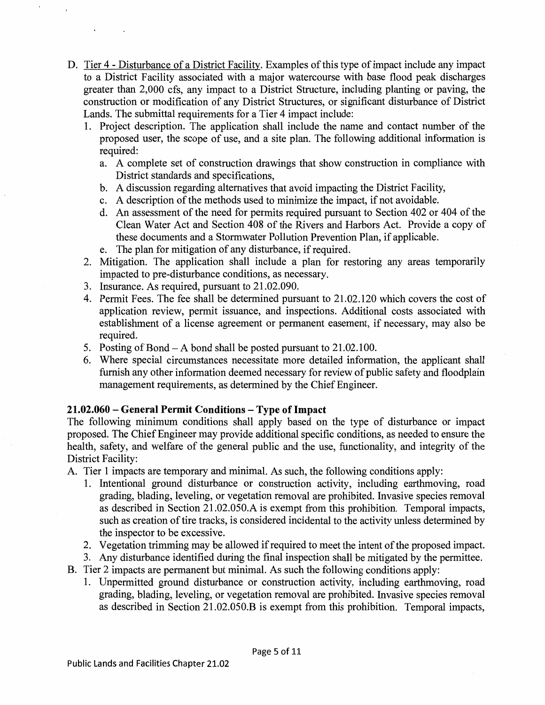- D. Tier 4 Disturbance of a District Facility. Examples of this type of impact include any impact to a District Facility associated with a major watercourse with base flood peak discharges greater than 2,000 cfs, any impact to a District Structure, including planting or paving, the construction or modification of any District Structures, or significant disturbance of District Lands. The submittal requirements for a Tier 4 impact include:
	- 1. Project description. The application shall include the name and contact number of the proposed user, the scope of use, and a site plan. The following additional information is required:
		- a. A complete set of construction drawings that show construction in compliance with District standards and specifications,
		- b. A discussion regarding alternatives that avoid impacting the District Facility,
		- c. A description of the methods used to minimize the impact, if not avoidable.
		- d. An assessment of the need for permits required pursuant to Section 402 or 404 of the Clean Water Act and Section 408 of the Rivers and Harbors Act. Provide a copy of these documents and a Stormwater Pollution Prevention Plan, if applicable.
		- e. The plan for mitigation of any disturbance, if required.
	- 2. Mitigation. The application shall include a plan for restoring any areas temporarily impacted to pre-disturbance conditions, as necessary.
	- 3. Insurance. As required, pursuant to 21.02.090.
	- 4. Permit Fees. The fee shall be determined pursuant to 21.02.120 which covers the cost of application review, permit issuance, and inspections. Additional costs associated with establishment of a license agreement or permanent easement, if necessary, may also be required.
	- 5. Posting of Bond-A bond shall be posted pursuant to 21.02.100.
	- 6. Where special circumstances necessitate more detailed information, the applicant shall furnish any other information deemed necessary for review of public safety and floodplain management requirements, as determined by the Chief Engineer.

## **21.02.060 - General Permit Conditions - Type of Impact**

The following minimum conditions shall apply based on the type of disturbance or impact proposed. The Chief Engineer may provide additional specific conditions, as needed to ensure the health, safety, and welfare of the general public and the use, functionality, and integrity of the District Facility:

A. Tier 1 impacts are temporary and minimal. As such, the following conditions apply:

- 1. Intentional ground disturbance or construction activity, including earthmoving, road grading, blading, leveling, or vegetation removal are prohibited. Invasive species removal as described in Section 21.02.050.A is exempt from this prohibition. Temporal impacts, such as creation of tire tracks, is considered incidental to the activity unless determined by the inspector to be excessive.
- 2. Vegetation trimming may be allowed if required to meet the intent of the proposed impact.
- 3. Any disturbance identified during the final inspection shall be mitigated by the permittee.
- B. Tier 2 impacts are permanent but minimal. As such the following conditions apply:
	- 1. Unpermitted ground disturbance or construction activity, including earthmoving, road grading, blading, leveling, or vegetation removal are prohibited. Invasive species removal as described in Section 21.02.050.B is exempt from this prohibition. Temporal impacts,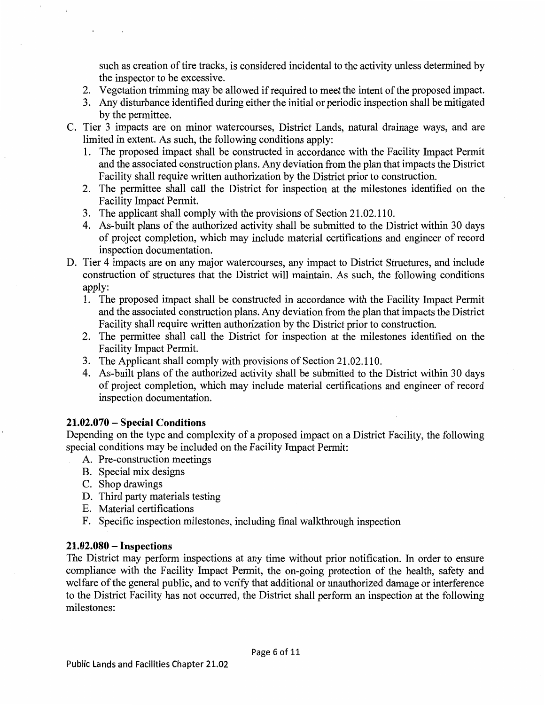such as creation of tire tracks, is considered incidental to the activity unless determined by the inspector to be excessive.

- 2. Vegetation trimming may be allowed if required to meet the intent of the proposed impact.
- 3. Any disturbance identified during either the initial or periodic inspection shall be mitigated by the permittee.
- C. Tier 3 impacts are on minor watercourses, District Lands, natural drainage ways, and are limited in extent. As such, the following conditions apply:
	- 1. The proposed impact shall be constructed in accordance with the Facility Impact Permit and the associated construction plans. Any deviation from the plan that impacts the District Facility shall require written authorization by the District prior to construction.
	- 2. The permittee shall call the District for inspection at the milestones identified on the Facility Impact Permit.
	- 3. The applicant shall comply with the provisions of Section 21.02.110.
	- 4. As-built plans of the authorized activity shall be submitted to the District within 30 days of project completion, which may include material certifications and engineer of record inspection documentation.
- D. Tier 4 impacts are on any major watercourses, any impact to District Structures, and include construction of structures that the District will maintain. As such, the following conditions apply:
	- 1. The proposed impact shall be constructed in accordance with the Facility Impact Permit and the associated construction plans. Any deviation from the plan that impacts the District Facility shall require written authorization by the District prior to construction.
	- 2. The permittee shall call the District for inspection at the milestones identified on the Facility Impact Permit.
	- 3. The Applicant shall comply with provisions of Section 21. 02.110.
	- 4. As-built plans of the authorized activity shall be submitted to the District within 30 days of project completion, which may include material certifications and engineer of record inspection documentation.

## **21.02.070** - **Special Conditions**

Depending on the type and complexity of a proposed impact on a District Facility, the following special conditions may be included on the Facility Impact Permit:

- A. Pre-construction meetings
- B. Special mix designs
- C. Shop drawings
- D. Third party materials testing
- E. Material certifications
- F. Specific inspection milestones, including final walkthrough inspection

## **21.02.080** - **Inspections**

The District may perform inspections at any time without prior notification. In order to ensure compliance with the Facility Impact Permit, the on-going protection of the health, safety and welfare of the general public, and to verify that additional or unauthorized damage or interference to the District Facility has not occurred, the District shall perform an inspection at the following milestones: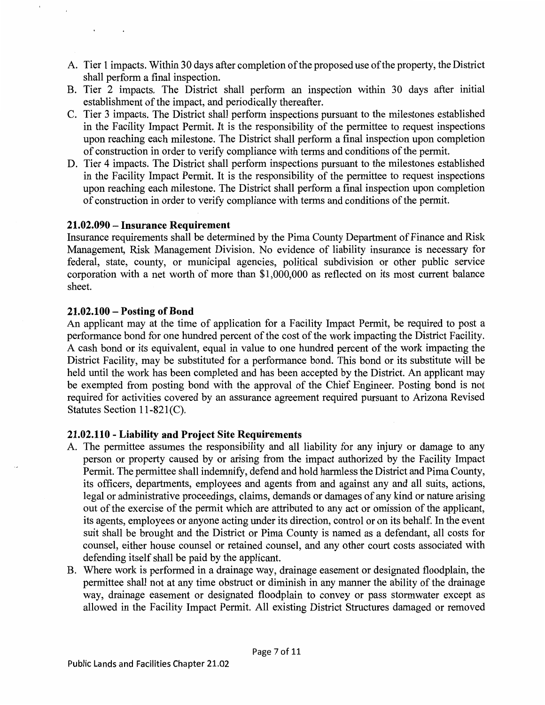- A. Tier 1 impacts. Within 30 days after completion of the proposed use of the property, the District shall perform a final inspection.
- B. Tier 2 impacts. The District shall perform an inspection within 30 days after initial establishment of the impact, and periodically thereafter.
- C. Tier 3 impacts. The District shall perform inspections pursuant to the milestones established in the Facility Impact Permit. It is the responsibility of the permittee to request inspections upon reaching each milestone. The District shall perform a final inspection upon completion of construction in order to verify compliance with terms and conditions of the permit.
- D. Tier 4 impacts. The District shall perform inspections pursuant to the milestones established in the Facility Impact Permit. It is the responsibility of the permittee to request inspections upon reaching each milestone. The District shall perform a final inspection upon completion of construction in order to verify compliance with terms and conditions of the permit.

#### **21.02.090-Insurance Requirement**

Insurance requirements shall be determined by the Pima County Department of Finance and Risk Management, Risk Management Division. No evidence of liability insurance is necessary for federal, state, county, or municipal agencies, political subdivision or other public service corporation with a net worth of more than \$1,000,000 as reflected on its most current balance sheet.

#### **21.02.100 - Posting of Bond**

 $\ddot{\phantom{1}}$ 

An applicant may at the time of application for a Facility Impact Permit, be required to post a performance bond for one hundred percent of the cost of the work impacting the District Facility. A cash bond or its equivalent, equal in value to one hundred percent of the work impacting the District Facility, may be substituted for a performance bond. This bond or its substitute will be held until the work has been completed and has been accepted by the District. An applicant may be exempted from posting bond with the approval of the Chief Engineer. Posting bond is not required for activities covered by an assurance agreement required pursuant to Arizona Revised Statutes Section 11-82l(C).

## **21.02.110 - Liability and Project Site Requirements**

- A. The permittee assumes the responsibility and all liability for any injury or damage to any person or property caused by or arising from the impact authorized by the Facility Impact Permit. The permittee shall indemnify, defend and hold harmless the District and Pima County, its officers, departments, employees and agents from and against any and all suits, actions, legal or administrative proceedings, claims, demands or damages of any kind or nature arising out of the exercise of the permit which are attributed to any act or omission of the applicant, its agents, employees or anyone acting under its direction, control or on its behalf. In the event suit shall be brought and the District or Pima County is named as a defendant, all costs for counsel, either house counsel or retained counsel, and any other court costs associated with defending itself shall be paid by the applicant.
- B. Where work is performed in a drainage way, drainage easement or designated floodplain, the permittee shall not at any time obstruct or diminish in any manner the ability of the drainage way, drainage easement or designated floodplain to convey or pass storm water except as allowed in the Facility Impact Permit. All existing District Structures damaged or removed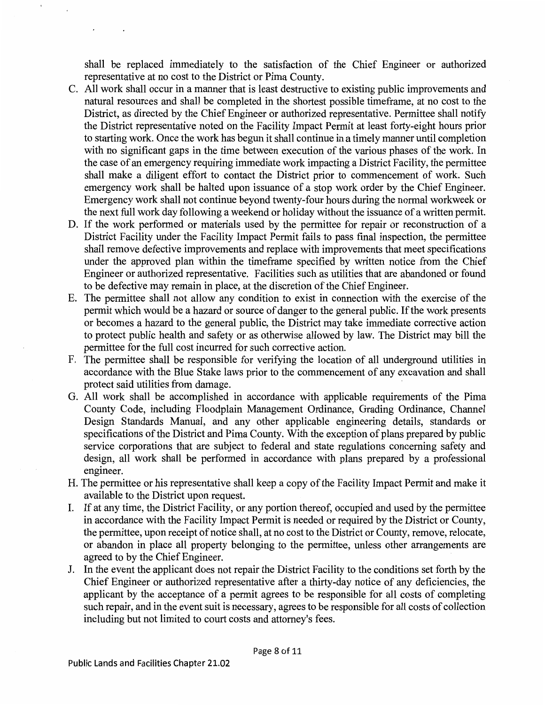shall be replaced immediately to the satisfaction of the Chief Engineer or authorized representative at no cost to the District or Pima County.

- C. All work shall occur in a manner that is least destructive to existing public improvements and natural resources and shall be completed in the shortest possible timeframe, at no cost to the District, as directed by the Chief Engineer or authorized representative. Permittee shall notify the District representative noted on the Facility Impact Permit at least forty-eight hours prior to starting work. Once the work has begun it shall continue in a timely manner until completion with no significant gaps in the time between execution of the various phases of the work. In the case of an emergency requiring immediate work impacting a District Facility, the permittee shall make a diligent effort to contact the District prior to commencement of work. Such emergency work shall be halted upon issuance of a stop work order by the Chief Engineer. Emergency work shall not continue beyond twenty-four hours during the normal workweek or the next full work day following a weekend or holiday without the issuance of a written permit.
- D. If the work performed or materials used by the permittee for repair or reconstruction of a District Facility under the Facility Impact Permit fails to pass final inspection, the permittee shall remove defective improvements and replace with improvements that meet specifications under the approved plan within the timeframe specified by written notice from the Chief Engineer or authorized representative. Facilities such as utilities that are abandoned or found to be defective may remain in place, at the discretion of the Chief Engineer.
- E. The permittee shall not allow any condition to exist in connection with the exercise of the permit which would be a hazard or source of danger to the general public. If the work presents or becomes a hazard to the general public, the District may take immediate corrective action to protect public health and safety or as otherwise allowed by law. The District may bill the permittee for the full cost incurred for such corrective action.
- F. The permittee shall be responsible for verifying the location of all underground utilities in accordance with the Blue Stake laws prior to the commencement of any excavation and shall protect said utilities from damage.
- G. All work shall be accomplished in accordance with applicable requirements of the Pima County Code, including Floodplain Management Ordinance, Grading Ordinance, Channel Design Standards Manual, and any other applicable engineering details, standards or specifications of the District and Pima County. With the exception of plans prepared by public service corporations that are subject to federal and state regulations concerning safety and design, all work shall be performed in accordance with plans prepared by a professional engineer.
- H. The permittee or his representative shall keep a copy of the Facility Impact Permit and make it available to the District upon request.
- I. If at any time, the District Facility, or any portion thereof, occupied and used by the permittee in accordance with the Facility Impact Permit is needed or required by the District or County, the permittee, upon receipt of notice shall, at no cost to the District or County, remove, relocate, or abandon in place all property belonging to the permittee, unless other arrangements are agreed to by the Chief Engineer.
- J. In the event the applicant does not repair the District Facility to the conditions set forth by the Chief Engineer or authorized representative after a thirty-day notice of any deficiencies, the applicant by the acceptance of a permit agrees to be responsible for all costs of completing such repair, and in the event suit is necessary, agrees to be responsible for all costs of collection including but not limited to court costs and attorney's fees.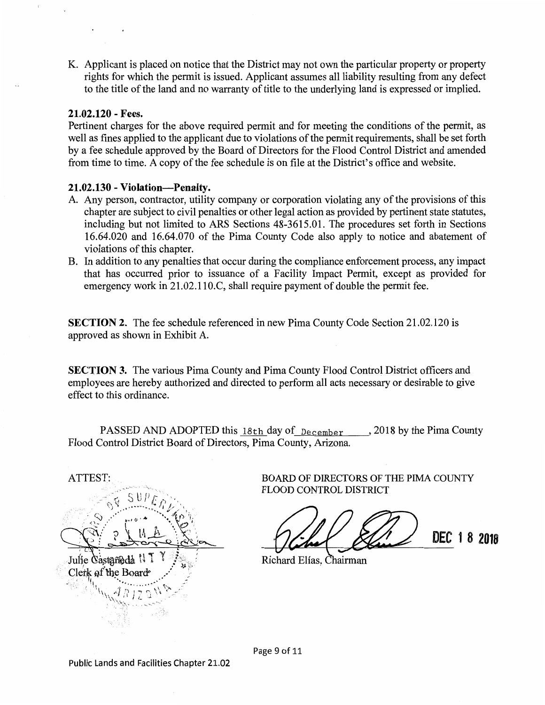K. Applicant is placed on notice that the District may not own the particular property or property rights for which the permit is issued. Applicant assumes all liability resulting from any defect to the title of the land and no warranty of title to the underlying land is expressed or implied.

#### **21.02.120** - **Fees.**

Pertinent charges for the above required permit and for meeting the conditions of the permit, as well as fines applied to the applicant due to violations of the permit requirements, shall be set forth by a fee schedule approved by the Board of Directors for the Flood Control District and amended from time to time. A copy of the fee schedule is on file at the District's office and website.

#### **21.02.130** - **Violation-Penalty.**

- A. Any person, contractor, utility company or corporation violating any of the provisions of this chapter are subject to civil penalties or other legal action as provided by pertinent state statutes, including but not limited to ARS Sections 48-3615.01. The procedures set forth in Sections 16.64.020 and 16.64.070 of the Pima County Code also apply to notice and abatement of violations of this chapter.
- B. In addition to any penalties that occur during the compliance enforcement process, any impact that has occurred prior to issuance of a Facility Impact Permit, except as provided for emergency work in 21.02.110.C, shall require payment of double the permit fee.

**SECTION 2.** The fee schedule referenced in new Pima County Code Section 21.02.120 is approved as shown in Exhibit A.

**SECTION 3.** The various Pima County and Pima County Flood Control District officers and employees are hereby authorized and directed to perform all acts necessary or desirable to give effect to this ordinance.

PASSED AND ADOPTED this  $18th$  day of  $December$ , 2018 by the Pima County Flood Control District Board of Directors, Pima County, Arizona.

ATTEST: Julie Castañeda<sup>11</sup> Clerk of the Board

BOARD OF DIRECTORS OF THE PIMA COUNTY FLOOD CONTROL DISTRICT

DEC 18 2018

Richard Elías, Chairman

Page 9 of 11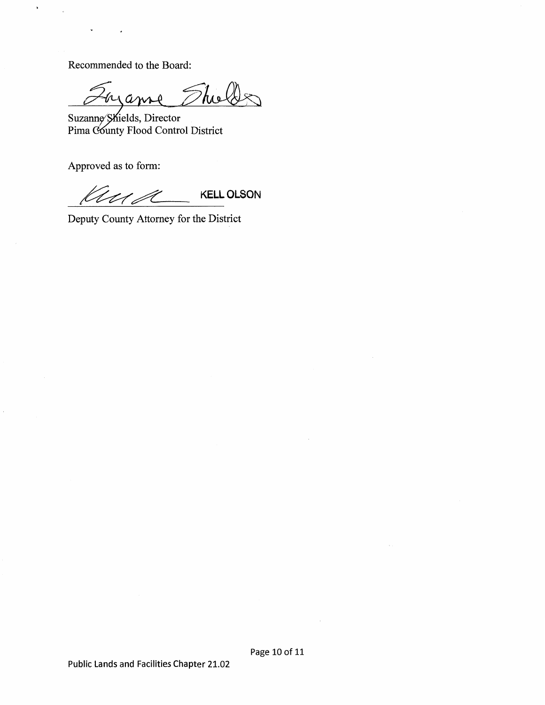Recommended to the Board:

 $\,$ 

Thelles nan

Suzanne Shields, Director Pima County Flood Control District

Approved as to form:

 $k\ell\ell\ell\ell$  **KELL OLSON** 

Deputy County Attorney for the District